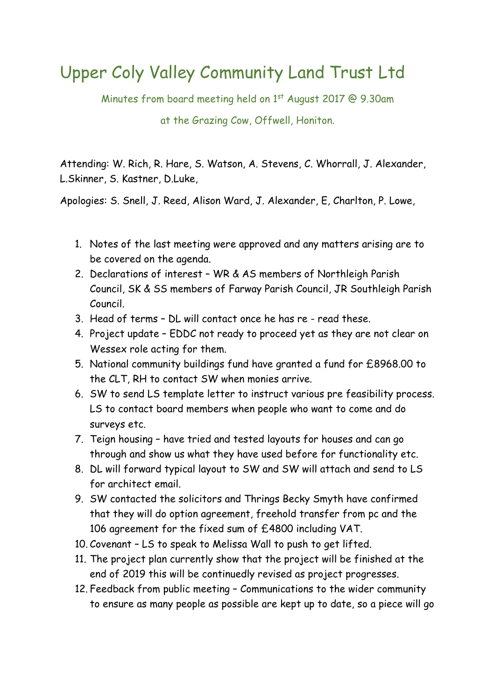## Upper Coly Valley Community Land Trust Ltd

Minutes from board meeting held on 1<sup>st</sup> August 2017 @ 9.30am

at the Grazing Cow, Offwell, Honiton.

Attending: W. Rich, R. Hare, S. Watson, A. Stevens, C. Whorrall, J. Alexander, L.Skinner, S. Kastner, D.Luke,

Apologies: S. Snell, J. Reed, Alison Ward, J. Alexander, E, Charlton, P. Lowe,

- 1. Notes of the last meeting were approved and any matters arising are to be covered on the agenda.
- 2. Declarations of interest WR & AS members of Northleigh Parish Council, SK & SS members of Farway Parish Council, JR Southleigh Parish Council.
- 3. Head of terms DL will contact once he has re read these.
- 4. Project update EDDC not ready to proceed yet as they are not clear on Wessex role acting for them.
- 5. National community buildings fund have granted a fund for £8968.00 to the CLT, RH to contact SW when monies arrive.
- 6. SW to send LS template letter to instruct various pre feasibility process. LS to contact board members when people who want to come and do surveys etc.
- 7. Teign housing have tried and tested layouts for houses and can go through and show us what they have used before for functionality etc.
- 8. DL will forward typical layout to SW and SW will attach and send to LS for architect email.
- 9. SW contacted the solicitors and Thrings Becky Smyth have confirmed that they will do option agreement, freehold transfer from pc and the 106 agreement for the fixed sum of £4800 including VAT.
- 10. Covenant LS to speak to Melissa Wall to push to get lifted.
- 11. The project plan currently show that the project will be finished at the end of 2019 this will be continuedly revised as project progresses.
- 12. Feedback from public meeting Communications to the wider community to ensure as many people as possible are kept up to date, so a piece will go